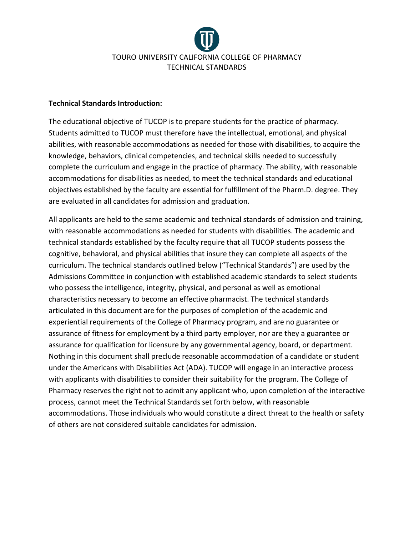

## **Technical Standards Introduction:**

The educational objective of TUCOP is to prepare students for the practice of pharmacy. Students admitted to TUCOP must therefore have the intellectual, emotional, and physical abilities, with reasonable accommodations as needed for those with disabilities, to acquire the knowledge, behaviors, clinical competencies, and technical skills needed to successfully complete the curriculum and engage in the practice of pharmacy. The ability, with reasonable accommodations for disabilities as needed, to meet the technical standards and educational objectives established by the faculty are essential for fulfillment of the Pharm.D. degree. They are evaluated in all candidates for admission and graduation.

All applicants are held to the same academic and technical standards of admission and training, with reasonable accommodations as needed for students with disabilities. The academic and technical standards established by the faculty require that all TUCOP students possess the cognitive, behavioral, and physical abilities that insure they can complete all aspects of the curriculum. The technical standards outlined below ("Technical Standards") are used by the Admissions Committee in conjunction with established academic standards to select students who possess the intelligence, integrity, physical, and personal as well as emotional characteristics necessary to become an effective pharmacist. The technical standards articulated in this document are for the purposes of completion of the academic and experiential requirements of the College of Pharmacy program, and are no guarantee or assurance of fitness for employment by a third party employer, nor are they a guarantee or assurance for qualification for licensure by any governmental agency, board, or department. Nothing in this document shall preclude reasonable accommodation of a candidate or student under the Americans with Disabilities Act (ADA). TUCOP will engage in an interactive process with applicants with disabilities to consider their suitability for the program. The College of Pharmacy reserves the right not to admit any applicant who, upon completion of the interactive process, cannot meet the Technical Standards set forth below, with reasonable accommodations. Those individuals who would constitute a direct threat to the health or safety of others are not considered suitable candidates for admission.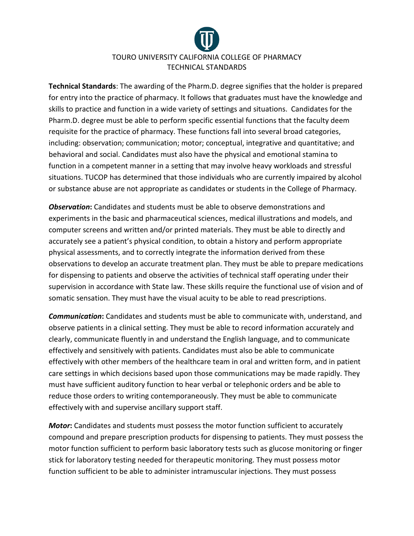

**Technical Standards**: The awarding of the Pharm.D. degree signifies that the holder is prepared for entry into the practice of pharmacy. It follows that graduates must have the knowledge and skills to practice and function in a wide variety of settings and situations. Candidates for the Pharm.D. degree must be able to perform specific essential functions that the faculty deem requisite for the practice of pharmacy. These functions fall into several broad categories, including: observation; communication; motor; conceptual, integrative and quantitative; and behavioral and social. Candidates must also have the physical and emotional stamina to function in a competent manner in a setting that may involve heavy workloads and stressful situations. TUCOP has determined that those individuals who are currently impaired by alcohol or substance abuse are not appropriate as candidates or students in the College of Pharmacy.

*Observation***:** Candidates and students must be able to observe demonstrations and experiments in the basic and pharmaceutical sciences, medical illustrations and models, and computer screens and written and/or printed materials. They must be able to directly and accurately see a patient's physical condition, to obtain a history and perform appropriate physical assessments, and to correctly integrate the information derived from these observations to develop an accurate treatment plan. They must be able to prepare medications for dispensing to patients and observe the activities of technical staff operating under their supervision in accordance with State law. These skills require the functional use of vision and of somatic sensation. They must have the visual acuity to be able to read prescriptions.

*Communication***:** Candidates and students must be able to communicate with, understand, and observe patients in a clinical setting. They must be able to record information accurately and clearly, communicate fluently in and understand the English language, and to communicate effectively and sensitively with patients. Candidates must also be able to communicate effectively with other members of the healthcare team in oral and written form, and in patient care settings in which decisions based upon those communications may be made rapidly. They must have sufficient auditory function to hear verbal or telephonic orders and be able to reduce those orders to writing contemporaneously. They must be able to communicate effectively with and supervise ancillary support staff.

*Motor***:** Candidates and students must possess the motor function sufficient to accurately compound and prepare prescription products for dispensing to patients. They must possess the motor function sufficient to perform basic laboratory tests such as glucose monitoring or finger stick for laboratory testing needed for therapeutic monitoring. They must possess motor function sufficient to be able to administer intramuscular injections. They must possess